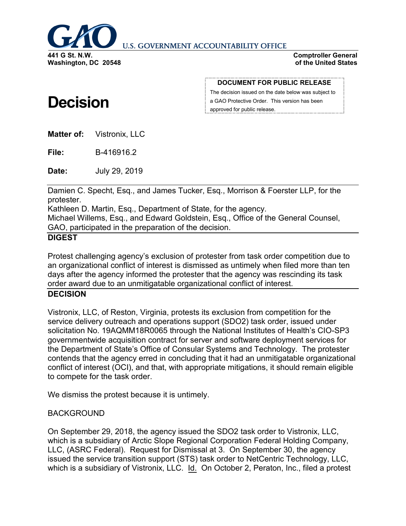

**U.S. GOVERNMENT ACCOUNTABILITY OFFICE** 

**Comptroller General of the United States**

# **Decision**

**DOCUMENT FOR PUBLIC RELEASE**

The decision issued on the date below was subject to a GAO Protective Order. This version has been approved for public release.

**Matter of:** Vistronix, LLC

**File:** B-416916.2

**Date:** July 29, 2019

Damien C. Specht, Esq., and James Tucker, Esq., Morrison & Foerster LLP, for the protester.

Kathleen D. Martin, Esq., Department of State, for the agency.

Michael Willems, Esq., and Edward Goldstein, Esq., Office of the General Counsel, GAO, participated in the preparation of the decision.

## **DIGEST**

Protest challenging agency's exclusion of protester from task order competition due to an organizational conflict of interest is dismissed as untimely when filed more than ten days after the agency informed the protester that the agency was rescinding its task order award due to an unmitigatable organizational conflict of interest.

# **DECISION**

Vistronix, LLC, of Reston, Virginia, protests its exclusion from competition for the service delivery outreach and operations support (SDO2) task order, issued under solicitation No. 19AQMM18R0065 through the National Institutes of Health's CIO-SP3 governmentwide acquisition contract for server and software deployment services for the Department of State's Office of Consular Systems and Technology. The protester contends that the agency erred in concluding that it had an unmitigatable organizational conflict of interest (OCI), and that, with appropriate mitigations, it should remain eligible to compete for the task order.

We dismiss the protest because it is untimely.

# BACKGROUND

On September 29, 2018, the agency issued the SDO2 task order to Vistronix, LLC, which is a subsidiary of Arctic Slope Regional Corporation Federal Holding Company, LLC, (ASRC Federal). Request for Dismissal at 3. On September 30, the agency issued the service transition support (STS) task order to NetCentric Technology, LLC, which is a subsidiary of Vistronix, LLC. Id. On October 2, Peraton, Inc., filed a protest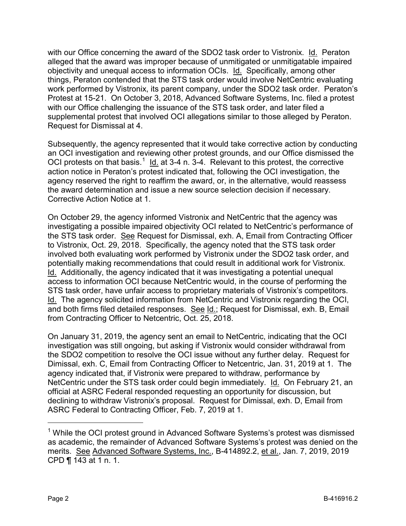with our Office concerning the award of the SDO2 task order to Vistronix. Id. Peraton alleged that the award was improper because of unmitigated or unmitigatable impaired objectivity and unequal access to information OCIs. Id. Specifically, among other things, Peraton contended that the STS task order would involve NetCentric evaluating work performed by Vistronix, its parent company, under the SDO2 task order. Peraton's Protest at 15-21. On October 3, 2018, Advanced Software Systems, Inc. filed a protest with our Office challenging the issuance of the STS task order, and later filed a supplemental protest that involved OCI allegations similar to those alleged by Peraton. Request for Dismissal at 4.

Subsequently, the agency represented that it would take corrective action by conducting an OCI investigation and reviewing other protest grounds, and our Office dismissed the OCI protests on that basis.<sup>[1](#page-1-0)</sup> ld. at 3-4 n. 3-4. Relevant to this protest, the corrective action notice in Peraton's protest indicated that, following the OCI investigation, the agency reserved the right to reaffirm the award, or, in the alternative, would reassess the award determination and issue a new source selection decision if necessary. Corrective Action Notice at 1.

On October 29, the agency informed Vistronix and NetCentric that the agency was investigating a possible impaired objectivity OCI related to NetCentric's performance of the STS task order. See Request for Dismissal, exh. A, Email from Contracting Officer to Vistronix, Oct. 29, 2018. Specifically, the agency noted that the STS task order involved both evaluating work performed by Vistronix under the SDO2 task order, and potentially making recommendations that could result in additional work for Vistronix. Id. Additionally, the agency indicated that it was investigating a potential unequal access to information OCI because NetCentric would, in the course of performing the STS task order, have unfair access to proprietary materials of Vistronix's competitors. Id. The agency solicited information from NetCentric and Vistronix regarding the OCI, and both firms filed detailed responses. See Id.; Request for Dismissal, exh. B, Email from Contracting Officer to Netcentric, Oct. 25, 2018.

On January 31, 2019, the agency sent an email to NetCentric, indicating that the OCI investigation was still ongoing, but asking if Vistronix would consider withdrawal from the SDO2 competition to resolve the OCI issue without any further delay. Request for Dimissal, exh. C, Email from Contracting Officer to Netcentric, Jan. 31, 2019 at 1. The agency indicated that, if Vistronix were prepared to withdraw, performance by NetCentric under the STS task order could begin immediately. Id. On February 21, an official at ASRC Federal responded requesting an opportunity for discussion, but declining to withdraw Vistronix's proposal. Request for Dimissal, exh. D, Email from ASRC Federal to Contracting Officer, Feb. 7, 2019 at 1.

<span id="page-1-0"></span><sup>&</sup>lt;sup>1</sup> While the OCI protest ground in Advanced Software Systems's protest was dismissed as academic, the remainder of Advanced Software Systems's protest was denied on the merits. See Advanced Software Systems, Inc., B-414892.2, et al., Jan. 7, 2019, 2019 CPD ¶ 143 at 1 n. 1.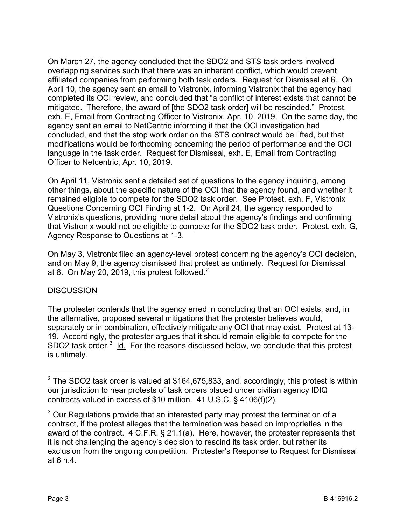On March 27, the agency concluded that the SDO2 and STS task orders involved overlapping services such that there was an inherent conflict, which would prevent affiliated companies from performing both task orders. Request for Dismissal at 6. On April 10, the agency sent an email to Vistronix, informing Vistronix that the agency had completed its OCI review, and concluded that "a conflict of interest exists that cannot be mitigated. Therefore, the award of [the SDO2 task order] will be rescinded." Protest, exh. E, Email from Contracting Officer to Vistronix, Apr. 10, 2019. On the same day, the agency sent an email to NetCentric informing it that the OCI investigation had concluded, and that the stop work order on the STS contract would be lifted, but that modifications would be forthcoming concerning the period of performance and the OCI language in the task order. Request for Dismissal, exh. E, Email from Contracting Officer to Netcentric, Apr. 10, 2019.

On April 11, Vistronix sent a detailed set of questions to the agency inquiring, among other things, about the specific nature of the OCI that the agency found, and whether it remained eligible to compete for the SDO2 task order. See Protest, exh. F, Vistronix Questions Concerning OCI Finding at 1-2. On April 24, the agency responded to Vistronix's questions, providing more detail about the agency's findings and confirming that Vistronix would not be eligible to compete for the SDO2 task order. Protest, exh. G, Agency Response to Questions at 1-3.

On May 3, Vistronix filed an agency-level protest concerning the agency's OCI decision, and on May 9, the agency dismissed that protest as untimely. Request for Dismissal at 8. On May [2](#page-2-0)0, 2019, this protest followed. $<sup>2</sup>$ </sup>

#### **DISCUSSION**

The protester contends that the agency erred in concluding that an OCI exists, and, in the alternative, proposed several mitigations that the protester believes would, separately or in combination, effectively mitigate any OCI that may exist. Protest at 13- 19. Accordingly, the protester argues that it should remain eligible to compete for the SDO2 task order.<sup>[3](#page-2-1)</sup> Id. For the reasons discussed below, we conclude that this protest is untimely.

<span id="page-2-0"></span> $2$  The SDO2 task order is valued at \$164,675,833, and, accordingly, this protest is within our jurisdiction to hear protests of task orders placed under civilian agency IDIQ contracts valued in excess of \$10 million. 41 U.S.C. § 4106(f)(2).

<span id="page-2-1"></span> $3$  Our Regulations provide that an interested party may protest the termination of a contract, if the protest alleges that the termination was based on improprieties in the award of the contract. 4 C.F.R. § 21.1(a). Here, however, the protester represents that it is not challenging the agency's decision to rescind its task order, but rather its exclusion from the ongoing competition. Protester's Response to Request for Dismissal at 6 n.4.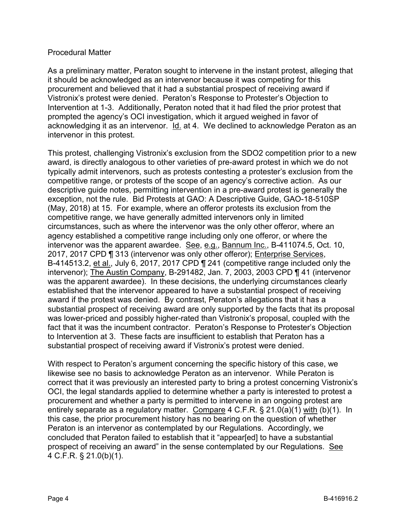#### Procedural Matter

As a preliminary matter, Peraton sought to intervene in the instant protest, alleging that it should be acknowledged as an intervenor because it was competing for this procurement and believed that it had a substantial prospect of receiving award if Vistronix's protest were denied. Peraton's Response to Protester's Objection to Intervention at 1-3. Additionally, Peraton noted that it had filed the prior protest that prompted the agency's OCI investigation, which it argued weighed in favor of acknowledging it as an intervenor. Id. at 4. We declined to acknowledge Peraton as an intervenor in this protest.

This protest, challenging Vistronix's exclusion from the SDO2 competition prior to a new award, is directly analogous to other varieties of pre-award protest in which we do not typically admit intervenors, such as protests contesting a protester's exclusion from the competitive range, or protests of the scope of an agency's corrective action. As our descriptive guide notes, permitting intervention in a pre-award protest is generally the exception, not the rule. Bid Protests at GAO: A Descriptive Guide, GAO-18-510SP (May, 2018) at 15. For example, where an offeror protests its exclusion from the competitive range, we have generally admitted intervenors only in limited circumstances, such as where the intervenor was the only other offeror, where an agency established a competitive range including only one offeror, or where the intervenor was the apparent awardee. See, e.g., Bannum Inc., B-411074.5, Oct. 10, 2017, 2017 CPD ¶ 313 (intervenor was only other offeror); Enterprise Services, B-414513.2, et al., July 6, 2017, 2017 CPD ¶ 241 (competitive range included only the intervenor); The Austin Company, B-291482, Jan. 7, 2003, 2003 CPD ¶ 41 (intervenor was the apparent awardee). In these decisions, the underlying circumstances clearly established that the intervenor appeared to have a substantial prospect of receiving award if the protest was denied. By contrast, Peraton's allegations that it has a substantial prospect of receiving award are only supported by the facts that its proposal was lower-priced and possibly higher-rated than Vistronix's proposal, coupled with the fact that it was the incumbent contractor. Peraton's Response to Protester's Objection to Intervention at 3. These facts are insufficient to establish that Peraton has a substantial prospect of receiving award if Vistronix's protest were denied.

With respect to Peraton's argument concerning the specific history of this case, we likewise see no basis to acknowledge Peraton as an intervenor. While Peraton is correct that it was previously an interested party to bring a protest concerning Vistronix's OCI, the legal standards applied to determine whether a party is interested to protest a procurement and whether a party is permitted to intervene in an ongoing protest are entirely separate as a regulatory matter. Compare 4 C.F.R. § 21.0(a)(1) with (b)(1). In this case, the prior procurement history has no bearing on the question of whether Peraton is an intervenor as contemplated by our Regulations. Accordingly, we concluded that Peraton failed to establish that it "appear[ed] to have a substantial prospect of receiving an award" in the sense contemplated by our Regulations. See 4 C.F.R. § 21.0(b)(1).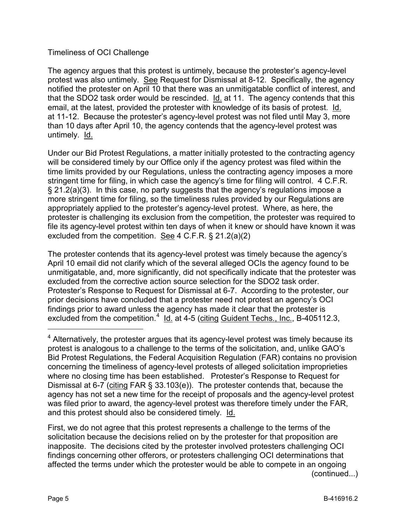## Timeliness of OCI Challenge

The agency argues that this protest is untimely, because the protester's agency-level protest was also untimely. See Request for Dismissal at 8-12. Specifically, the agency notified the protester on April 10 that there was an unmitigatable conflict of interest, and that the SDO2 task order would be rescinded. Id. at 11. The agency contends that this email, at the latest, provided the protester with knowledge of its basis of protest. Id. at 11-12. Because the protester's agency-level protest was not filed until May 3, more than 10 days after April 10, the agency contends that the agency-level protest was untimely. Id.

Under our Bid Protest Regulations, a matter initially protested to the contracting agency will be considered timely by our Office only if the agency protest was filed within the time limits provided by our Regulations, unless the contracting agency imposes a more stringent time for filing, in which case the agency's time for filing will control. 4 C.F.R. § 21.2(a)(3). In this case, no party suggests that the agency's regulations impose a more stringent time for filing, so the timeliness rules provided by our Regulations are appropriately applied to the protester's agency-level protest. Where, as here, the protester is challenging its exclusion from the competition, the protester was required to file its agency-level protest within ten days of when it knew or should have known it was excluded from the competition. See 4 C.F.R. § 21.2(a)(2)

The protester contends that its agency-level protest was timely because the agency's April 10 email did not clarify which of the several alleged OCIs the agency found to be unmitigatable, and, more significantly, did not specifically indicate that the protester was excluded from the corrective action source selection for the SDO2 task order. Protester's Response to Request for Dismissal at 6-7. According to the protester, our prior decisions have concluded that a protester need not protest an agency's OCI findings prior to award unless the agency has made it clear that the protester is excluded from the competition.<sup>[4](#page-4-0)</sup> ld. at 4-5 (citing Guident Techs., Inc., B-405112.3,

First, we do not agree that this protest represents a challenge to the terms of the solicitation because the decisions relied on by the protester for that proposition are inapposite. The decisions cited by the protester involved protesters challenging OCI findings concerning other offerors, or protesters challenging OCI determinations that affected the terms under which the protester would be able to compete in an ongoing (continued...)

<span id="page-4-0"></span><sup>&</sup>lt;sup>4</sup> Alternatively, the protester argues that its agency-level protest was timely because its protest is analogous to a challenge to the terms of the solicitation, and, unlike GAO's Bid Protest Regulations, the Federal Acquisition Regulation (FAR) contains no provision concerning the timeliness of agency-level protests of alleged solicitation improprieties where no closing time has been established. Protester's Response to Request for Dismissal at 6-7 (citing FAR § 33.103(e)). The protester contends that, because the agency has not set a new time for the receipt of proposals and the agency-level protest was filed prior to award, the agency-level protest was therefore timely under the FAR, and this protest should also be considered timely. Id.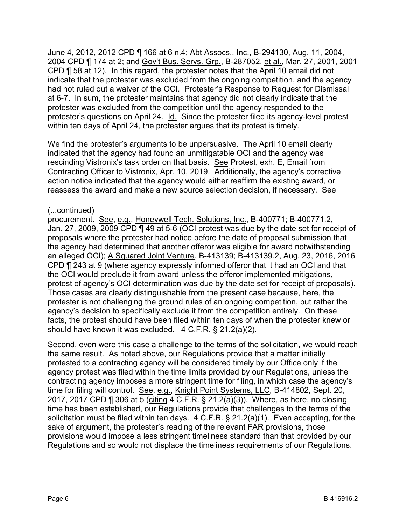June 4, 2012, 2012 CPD ¶ 166 at 6 n.4; Abt Assocs., Inc., B-294130, Aug. 11, 2004, 2004 CPD ¶ 174 at 2; and Gov't Bus. Servs. Grp., B-287052, et al., Mar. 27, 2001, 2001 CPD ¶ 58 at 12). In this regard, the protester notes that the April 10 email did not indicate that the protester was excluded from the ongoing competition, and the agency had not ruled out a waiver of the OCI. Protester's Response to Request for Dismissal at 6-7. In sum, the protester maintains that agency did not clearly indicate that the protester was excluded from the competition until the agency responded to the protester's questions on April 24. Id. Since the protester filed its agency-level protest within ten days of April 24, the protester argues that its protest is timely.

We find the protester's arguments to be unpersuasive. The April 10 email clearly indicated that the agency had found an unmitigatable OCI and the agency was rescinding Vistronix's task order on that basis. See Protest, exh. E, Email from Contracting Officer to Vistronix, Apr. 10, 2019. Additionally, the agency's corrective action notice indicated that the agency would either reaffirm the existing award, or reassess the award and make a new source selection decision, if necessary. See

 $\overline{a}$ 

Second, even were this case a challenge to the terms of the solicitation, we would reach the same result. As noted above, our Regulations provide that a matter initially protested to a contracting agency will be considered timely by our Office only if the agency protest was filed within the time limits provided by our Regulations, unless the contracting agency imposes a more stringent time for filing, in which case the agency's time for filing will control. See, e.g., Knight Point Systems, LLC, B-414802, Sept. 20, 2017, 2017 CPD ¶ 306 at 5 (citing 4 C.F.R. § 21.2(a)(3)). Where, as here, no closing time has been established, our Regulations provide that challenges to the terms of the solicitation must be filed within ten days. 4 C.F.R. § 21.2(a)(1). Even accepting, for the sake of argument, the protester's reading of the relevant FAR provisions, those provisions would impose a less stringent timeliness standard than that provided by our Regulations and so would not displace the timeliness requirements of our Regulations.

<sup>(...</sup>continued)

procurement. See, e.g., Honeywell Tech. Solutions, Inc., B-400771; B-400771.2, Jan. 27, 2009, 2009 CPD ¶ 49 at 5-6 (OCI protest was due by the date set for receipt of proposals where the protester had notice before the date of proposal submission that the agency had determined that another offeror was eligible for award notwithstanding an alleged OCI); A Squared Joint Venture, B-413139; B-413139.2, Aug. 23, 2016, 2016 CPD ¶ 243 at 9 (where agency expressly informed offeror that it had an OCI and that the OCI would preclude it from award unless the offeror implemented mitigations, protest of agency's OCI determination was due by the date set for receipt of proposals). Those cases are clearly distinguishable from the present case because, here, the protester is not challenging the ground rules of an ongoing competition, but rather the agency's decision to specifically exclude it from the competition entirely. On these facts, the protest should have been filed within ten days of when the protester knew or should have known it was excluded. 4 C.F.R. § 21.2(a)(2).